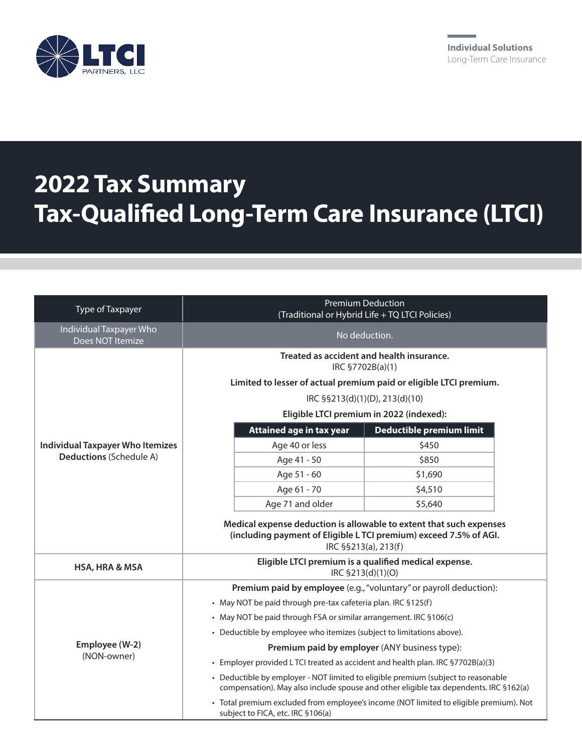

## **2022 Tax Summary Tax-Qualified Long-Term Care Insurance (LTCI)**

| Type of Taxpayer                                                   | <b>Premium Deduction</b><br>(Traditional or Hybrid Life + TQ LTCI Policies)                                                                                                                                       |                          |
|--------------------------------------------------------------------|-------------------------------------------------------------------------------------------------------------------------------------------------------------------------------------------------------------------|--------------------------|
| Individual Taxpayer Who<br>Does NOT Itemize                        | No deduction.                                                                                                                                                                                                     |                          |
| <b>Individual Taxpayer Who Itemizes</b><br>Deductions (Schedule A) | Treated as accident and health insurance.<br>IRC §7702B(a)(1)<br>Limited to lesser of actual premium paid or eligible LTCI premium.<br>IRC §§213(d)(1)(D), 213(d)(10)<br>Eligible LTCI premium in 2022 (indexed): |                          |
|                                                                    | Attained age in tax year                                                                                                                                                                                          | Deductible premium limit |
|                                                                    | Age 40 or less                                                                                                                                                                                                    | \$450                    |
|                                                                    | Age 41 - 50                                                                                                                                                                                                       | \$850                    |
|                                                                    | Age 51 - 60                                                                                                                                                                                                       | \$1,690                  |
|                                                                    | Age 61 - 70                                                                                                                                                                                                       | \$4,510                  |
|                                                                    | Age 71 and older                                                                                                                                                                                                  | \$5,640                  |
|                                                                    | Medical expense deduction is allowable to extent that such expenses<br>(including payment of Eligible L TCI premium) exceed 7.5% of AGI.<br>IRC §§213(a), 213(f)                                                  |                          |
| HSA, HRA & MSA                                                     | Eligible LTCI premium is a qualified medical expense.<br>IRC §213(d)(1)(O)                                                                                                                                        |                          |
| Employee (W-2)<br>(NON-owner)                                      | Premium paid by employee (e.g., "voluntary" or payroll deduction):                                                                                                                                                |                          |
|                                                                    | • May NOT be paid through pre-tax cafeteria plan. IRC §125(f)                                                                                                                                                     |                          |
|                                                                    | • May NOT be paid through FSA or similar arrangement. IRC §106(c)                                                                                                                                                 |                          |
|                                                                    | • Deductible by employee who itemizes (subject to limitations above).                                                                                                                                             |                          |
|                                                                    | Premium paid by employer (ANY business type):                                                                                                                                                                     |                          |
|                                                                    | • Employer provided LTCI treated as accident and health plan. IRC §7702B(a)(3)                                                                                                                                    |                          |
|                                                                    | • Deductible by employer - NOT limited to eligible premium (subject to reasonable<br>compensation). May also include spouse and other eligible tax dependents. IRC §162(a)                                        |                          |
|                                                                    | · Total premium excluded from employee's income (NOT limited to eligible premium). Not<br>subject to FICA, etc. IRC §106(a)                                                                                       |                          |